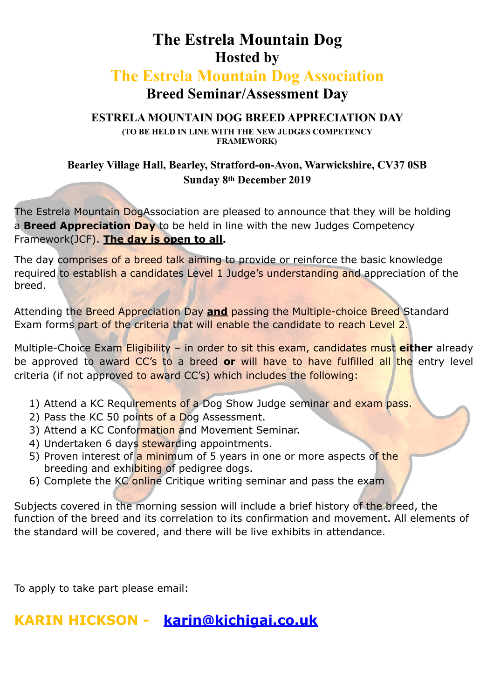# **The Estrela Mountain Dog Hosted by**

# **The Estrela Mountain Dog Association**

## **Breed Seminar/Assessment Day**

#### **ESTRELA MOUNTAIN DOG BREED APPRECIATION DAY (TO BE HELD IN LINE WITH THE NEW JUDGES COMPETENCY FRAMEWORK)**

### **Bearley Village Hall, Bearley, Stratford-on-Avon, Warwickshire, CV37 0SB Sunday 8th December 2019**

The Estrela Mountain DogAssociation are pleased to announce that they will be holding a **Breed Appreciation Day** to be held in line with the new Judges Competency Framework(JCF). **The day is open to all.** 

The day comprises of a breed talk aiming to provide or reinforce the basic knowledge required to establish a candidates Level 1 Judge's understanding and appreciation of the breed.

Attending the Breed Appreciation Day **and** passing the Multiple-choice Breed Standard Exam forms part of the criteria that will enable the candidate to reach Level 2.

Multiple-Choice Exam Eligibility – in order to sit this exam, candidates must **either** already be approved to award CC's to a breed **or** will have to have fulfilled all the entry level criteria (if not approved to award CC's) which includes the following:

- 1) Attend a KC Requirements of a Dog Show Judge seminar and exam pass.
- 2) Pass the KC 50 points of a Dog Assessment.
- 3) Attend a KC Conformation and Movement Seminar.
- 4) Undertaken 6 days stewarding appointments.
- 5) Proven interest of a minimum of 5 years in one or more aspects of the breeding and exhibiting of pedigree dogs.
- 6) Complete the KC online Critique writing seminar and pass the exam

Subjects covered in the morning session will include a brief history of the breed, the function of the breed and its correlation to its confirmation and movement. All elements of the standard will be covered, and there will be live exhibits in attendance.

To apply to take part please email:

## **KARIN HICKSON - [karin@kichigai.co.uk](mailto:karin@kichigai.co.uk)**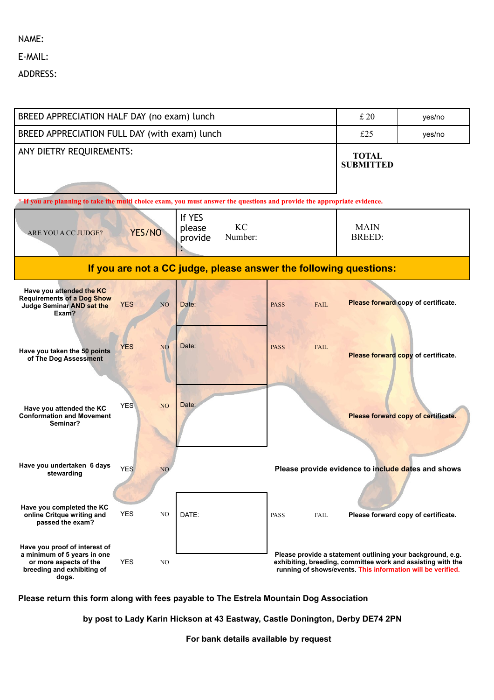#### NAME:

E-MAIL:

ADDRESS:

| BREED APPRECIATION HALF DAY (no exam) lunch                                                                                   |                                                        |       |                            | £ 20                             | yes/no                                                                                                                                                                                   |
|-------------------------------------------------------------------------------------------------------------------------------|--------------------------------------------------------|-------|----------------------------|----------------------------------|------------------------------------------------------------------------------------------------------------------------------------------------------------------------------------------|
| BREED APPRECIATION FULL DAY (with exam) lunch                                                                                 |                                                        |       |                            | £25                              | yes/no                                                                                                                                                                                   |
| ANY DIETRY REQUIREMENTS:                                                                                                      |                                                        |       |                            | <b>TOTAL</b><br><b>SUBMITTED</b> |                                                                                                                                                                                          |
| If you are planning to take the multi choice exam, you must answer the questions and provide the appropriate evidence.        |                                                        |       |                            |                                  |                                                                                                                                                                                          |
| ARE YOU A CC JUDGE?                                                                                                           | If YES<br>KC<br>please<br>YES/NO<br>Number:<br>provide |       |                            | <b>MAIN</b><br><b>BREED:</b>     |                                                                                                                                                                                          |
| If you are not a CC judge, please answer the following questions:                                                             |                                                        |       |                            |                                  |                                                                                                                                                                                          |
| Have you attended the KC<br><b>Requirements of a Dog Show</b><br>Judge Seminar AND sat the<br>Exam?                           | <b>YES</b><br>NO                                       | Date: | <b>PASS</b><br><b>FAIL</b> |                                  | Please forward copy of certificate.                                                                                                                                                      |
| Have you taken the 50 points<br>of The Dog Assessment                                                                         | <b>YES</b><br>NO <sub>1</sub>                          | Date: | <b>PASS</b><br><b>FAIL</b> |                                  | Please forward copy of certificate.                                                                                                                                                      |
| Have you attended the KC<br><b>Conformation and Movement</b><br>Seminar?                                                      | <b>YES</b><br>NO <sub>1</sub>                          | Date: |                            |                                  | Please forward copy of certificate.                                                                                                                                                      |
| Have you undertaken 6 days<br>stewarding                                                                                      | <b>YES</b><br>N <sub>O</sub>                           |       |                            |                                  | Please provide evidence to include dates and shows                                                                                                                                       |
| Have you completed the KC<br>online Critque writing and<br>passed the exam?                                                   | <b>YES</b><br>NO                                       | DATE: | <b>PASS</b><br>FAIL        |                                  | Please forward copy of certificate.                                                                                                                                                      |
| Have you proof of interest of<br>a minimum of 5 years in one<br>or more aspects of the<br>breeding and exhibiting of<br>dogs. | <b>YES</b><br>NO.                                      |       |                            |                                  | Please provide a statement outlining your background, e.g.<br>exhibiting, breeding, committee work and assisting with the<br>running of shows/events. This information will be verified. |

**Please return this form along with fees payable to The Estrela Mountain Dog Association**

**by post to Lady Karin Hickson at 43 Eastway, Castle Donington, Derby DE74 2PN**

**For bank details available by request**